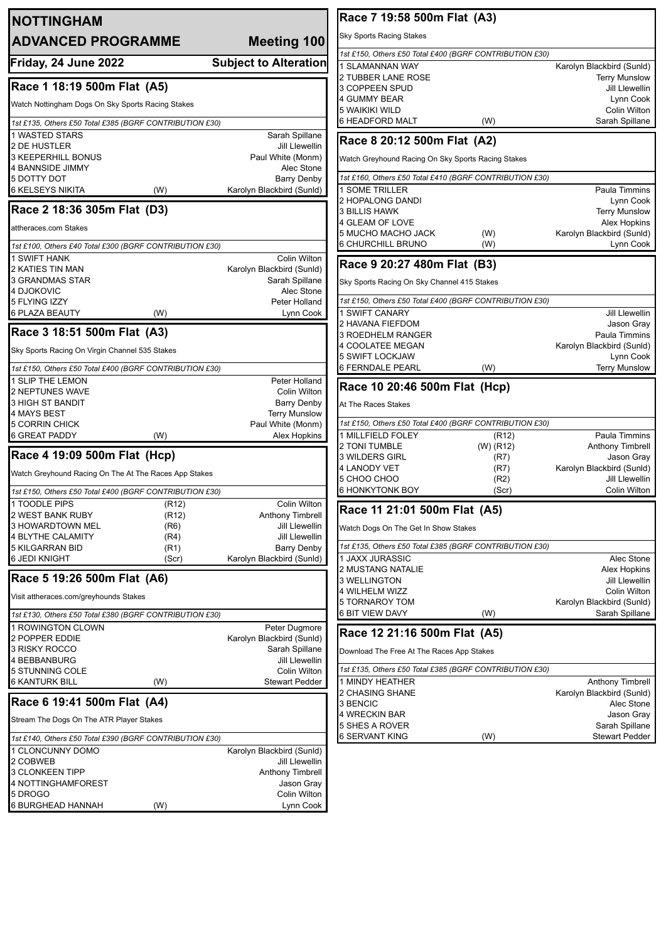| <b>NOTTINGHAM</b>                                       |                                                    | Race 7 19:58 500m Flat (A3)                                                       |
|---------------------------------------------------------|----------------------------------------------------|-----------------------------------------------------------------------------------|
| <b>ADVANCED PROGRAMME</b>                               | Meeting 100                                        | Sky Sports Racing Stakes                                                          |
|                                                         |                                                    | 1st £150, Others £50 Total £400 (BGRF CONTRIBUTION £30)                           |
| Friday, 24 June 2022                                    | <b>Subject to Alteration</b>                       | <b>SLAMANNAN WAY</b><br>Karolyn Blackbird (Sunld)                                 |
|                                                         |                                                    | 2 TUBBER LANE ROSE<br><b>Terry Munslow</b>                                        |
| Race 1 18:19 500m Flat (A5)                             |                                                    | 3 COPPEEN SPUD<br><b>Jill Llewellin</b>                                           |
| Watch Nottingham Dogs On Sky Sports Racing Stakes       |                                                    | 4 GUMMY BEAR<br>Lynn Cook                                                         |
|                                                         |                                                    | <b>5 WAIKIKI WILD</b><br>Colin Wilton                                             |
| 1st £135, Others £50 Total £385 (BGRF CONTRIBUTION £30) |                                                    | <b>6 HEADFORD MALT</b><br>Sarah Spillane<br>(W)                                   |
| 1 WASTED STARS                                          | Sarah Spillane                                     | Race 8 20:12 500m Flat (A2)                                                       |
| 2 DE HUSTLER<br><b>3 KEEPERHILL BONUS</b>               | Jill Llewellin                                     |                                                                                   |
| 4 BANNSIDE JIMMY                                        | Paul White (Monm)                                  | Watch Greyhound Racing On Sky Sports Racing Stakes<br>Alec Stone                  |
| 5 DOTTY DOT                                             | <b>Barry Denby</b>                                 | 1st £160, Others £50 Total £410 (BGRF CONTRIBUTION £30)                           |
| <b>6 KELSEYS NIKITA</b>                                 | Karolyn Blackbird (Sunld)<br>(W)                   | 1 SOME TRILLER<br>Paula Timmins                                                   |
|                                                         |                                                    | 2 HOPALONG DANDI<br>Lynn Cook                                                     |
| Race 2 18:36 305m Flat (D3)                             |                                                    | <b>3 BILLIS HAWK</b><br><b>Terry Munslow</b>                                      |
| attheraces.com Stakes                                   |                                                    | 4 GLEAM OF LOVE<br>Alex Hopkins                                                   |
|                                                         |                                                    | <b>5 MUCHO MACHO JACK</b><br>Karolyn Blackbird (Sunld)<br>(W)                     |
| 1st £100, Others £40 Total £300 (BGRF CONTRIBUTION £30) |                                                    | <b>6 CHURCHILL BRUNO</b><br>(W)<br>Lynn Cook                                      |
| <b>SWIFT HANK</b>                                       | Colin Wilton                                       | Race 9 20:27 480m Flat (B3)                                                       |
| 2 KATIES TIN MAN                                        | Karolyn Blackbird (Sunld)                          |                                                                                   |
| 3 GRANDMAS STAR<br>4 DJOKOVIC                           | Sarah Spillane                                     | Sky Sports Racing On Sky Channel 415 Stakes<br>Alec Stone                         |
| 5 FLYING IZZY                                           | Peter Holland                                      | 1st £150, Others £50 Total £400 (BGRF CONTRIBUTION £30)                           |
| <b>6 PLAZA BEAUTY</b>                                   | (W)                                                | 1 SWIFT CANARY<br>Jill Llewellin<br>Lynn Cook                                     |
|                                                         |                                                    | 2 HAVANA FIEFDOM<br>Jason Gray                                                    |
| Race 3 18:51 500m Flat (A3)                             |                                                    | 3 ROEDHELM RANGER<br>Paula Timmins                                                |
| Sky Sports Racing On Virgin Channel 535 Stakes          |                                                    | 4 COOLATEE MEGAN<br>Karolyn Blackbird (Sunld)                                     |
|                                                         |                                                    | 5 SWIFT LOCKJAW<br>Lynn Cook                                                      |
| 1st £150, Others £50 Total £400 (BGRF CONTRIBUTION £30) |                                                    | <b>6 FERNDALE PEARL</b><br>(W)<br><b>Terry Munslow</b>                            |
| 1 SLIP THE LEMON                                        | Peter Holland                                      | Race 10 20:46 500m Flat (Hcp)                                                     |
| 2 NEPTUNES WAVE                                         | Colin Wilton                                       |                                                                                   |
| 3 HIGH ST BANDIT<br>4 MAYS BEST                         | <b>Barry Denby</b><br><b>Terry Munslow</b>         | At The Races Stakes                                                               |
| 5 CORRIN CHICK                                          | Paul White (Monm)                                  | 1st £150, Others £50 Total £400 (BGRF CONTRIBUTION £30)                           |
| <b>6 GREAT PADDY</b>                                    | (W)<br>Alex Hopkins                                | 1 MILLFIELD FOLEY<br>Paula Timmins<br>(R12)                                       |
|                                                         |                                                    | 2 TONI TUMBLE<br>(W) (R12)<br>Anthony Timbrell                                    |
| Race 4 19:09 500m Flat (Hcp)                            |                                                    | 3 WILDERS GIRL<br>(R7)<br>Jason Gray                                              |
| Watch Greyhound Racing On The At The Races App Stakes   |                                                    | <b>4 LANODY VET</b><br>(R7)<br>Karolyn Blackbird (Sunld)<br><b>Jill Llewellin</b> |
|                                                         |                                                    | 5 CHOO CHOO<br>(R2)<br><b>6 HONKYTONK BOY</b><br>(Scr)<br>Colin Wilton            |
| 1st £150, Others £50 Total £400 (BGRF CONTRIBUTION £30) |                                                    |                                                                                   |
| 1 TOODLE PIPS<br><b>2 WEST BANK RUBY</b>                | Colin Wilton<br>(R12)<br>Anthony Timbrell<br>(R12) | Race 11 21:01 500m Flat (A5)                                                      |
| 3 HOWARDTOWN MEL                                        | (R6)                                               | Jill Llewellin<br>Watch Dogs On The Get In Show Stakes                            |
| 4 BLYTHE CALAMITY                                       | (R4)                                               | Jill Llewellin                                                                    |
| <b>5 KILGARRAN BID</b>                                  | (R1)<br>Barry Denby                                | 1st £135, Others £50 Total £385 (BGRF CONTRIBUTION £30)                           |
| <b>6 JEDI KNIGHT</b>                                    | Karolyn Blackbird (Sunld)<br>(Scr)                 | <b>JAXX JURASSIC</b><br>Alec Stone                                                |
|                                                         |                                                    | <b>2 MUSTANG NATALIE</b><br>Alex Hopkins                                          |
| Race 5 19:26 500m Flat (A6)                             |                                                    | 3 WELLINGTON<br>Jill Llewellin                                                    |
| Visit attheraces.com/greyhounds Stakes                  |                                                    | 4 WILHELM WIZZ<br>Colin Wilton<br>5 TORNAROY TOM<br>Karolyn Blackbird (Sunld)     |
| 1st £130, Others £50 Total £380 (BGRF CONTRIBUTION £30) |                                                    | 6 BIT VIEW DAVY<br>Sarah Spillane<br>(W)                                          |
|                                                         | Peter Dugmore                                      |                                                                                   |
| <b>ROWINGTON CLOWN</b><br>2 POPPER EDDIE                | Karolyn Blackbird (Sunld)                          | Race 12 21:16 500m Flat (A5)                                                      |
| 3 RISKY ROCCO                                           | Sarah Spillane                                     | Download The Free At The Races App Stakes                                         |
| 4 BEBBANBURG                                            |                                                    | Jill Llewellin                                                                    |
| 5 STUNNING COLE                                         | Colin Wilton                                       | 1st £135, Others £50 Total £385 (BGRF CONTRIBUTION £30)                           |
| <b>6 KANTURK BILL</b>                                   | <b>Stewart Pedder</b><br>(W)                       | 1 MINDY HEATHER<br>Anthony Timbrell                                               |
| Race 6 19:41 500m Flat (A4)                             |                                                    | 2 CHASING SHANE<br>Karolyn Blackbird (Sunld)                                      |
|                                                         |                                                    | 3 BENCIC<br>Alec Stone                                                            |
| Stream The Dogs On The ATR Player Stakes                |                                                    | 4 WRECKIN BAR<br>Jason Gray<br>5 SHES A ROVER<br>Sarah Spillane                   |
| 1st £140, Others £50 Total £390 (BGRF CONTRIBUTION £30) |                                                    | <b>6 SERVANT KING</b><br>(W)<br><b>Stewart Pedder</b>                             |
| 1 CLONCUNNY DOMO                                        | Karolyn Blackbird (Sunld)                          |                                                                                   |
| 2 COBWEB                                                |                                                    | Jill Llewellin                                                                    |
| 3 CLONKEEN TIPP                                         | Anthony Timbrell                                   |                                                                                   |
| 4 NOTTINGHAMFOREST                                      |                                                    | Jason Gray                                                                        |
| 5 DROGO                                                 | Colin Wilton                                       |                                                                                   |
| 6 BURGHEAD HANNAH                                       | (W)                                                | Lynn Cook                                                                         |
|                                                         |                                                    |                                                                                   |